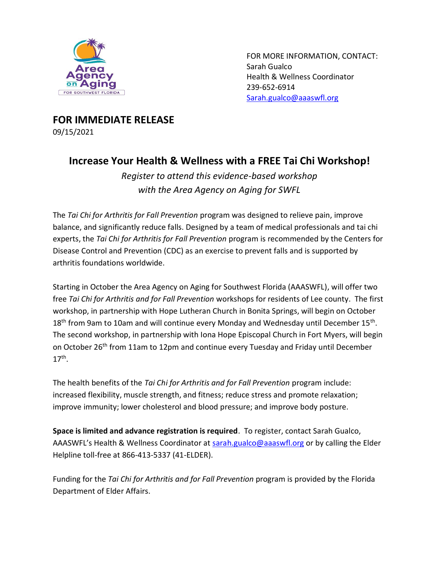

FOR MORE INFORMATION, CONTACT: Sarah Gualco Health & Wellness Coordinator 239-652-6914 [Sarah.gualco@aaaswfl.org](mailto:Sarah.gualco@aaaswfl.org)

**FOR IMMEDIATE RELEASE** 09/15/2021

## **Increase Your Health & Wellness with a FREE Tai Chi Workshop!**

*Register to attend this evidence-based workshop with the Area Agency on Aging for SWFL*

The *Tai Chi for Arthritis for Fall Prevention* program was designed to relieve pain, improve balance, and significantly reduce falls. Designed by a team of medical professionals and tai chi experts, the *Tai Chi for Arthritis for Fall Prevention* program is recommended by the Centers for Disease Control and Prevention (CDC) as an exercise to prevent falls and is supported by arthritis foundations worldwide.

Starting in October the Area Agency on Aging for Southwest Florida (AAASWFL), will offer two free *Tai Chi for Arthritis and for Fall Prevention* workshops for residents of Lee county. The first workshop, in partnership with Hope Lutheran Church in Bonita Springs, will begin on October  $18<sup>th</sup>$  from 9am to 10am and will continue every Monday and Wednesday until December  $15<sup>th</sup>$ . The second workshop, in partnership with Iona Hope Episcopal Church in Fort Myers, will begin on October 26<sup>th</sup> from 11am to 12pm and continue every Tuesday and Friday until December  $17<sup>th</sup>$ .

The health benefits of the *Tai Chi for Arthritis and for Fall Prevention* program include: increased flexibility, muscle strength, and fitness; reduce stress and promote relaxation; improve immunity; lower cholesterol and blood pressure; and improve body posture.

**Space is limited and advance registration is required**. To register, contact Sarah Gualco, AAASWFL's Health & Wellness Coordinator at [sarah.gualco@aaaswfl.org](mailto:sarah.gualco@aaaswfl.org) or by calling the Elder Helpline toll-free at 866-413-5337 (41-ELDER).

Funding for the *Tai Chi for Arthritis and for Fall Prevention* program is provided by the Florida Department of Elder Affairs.